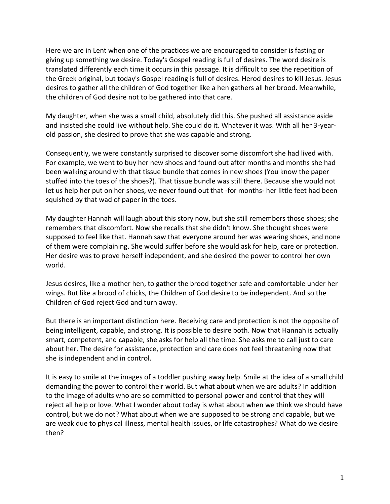Here we are in Lent when one of the practices we are encouraged to consider is fasting or giving up something we desire. Today's Gospel reading is full of desires. The word desire is translated differently each time it occurs in this passage. It is difficult to see the repetition of the Greek original, but today's Gospel reading is full of desires. Herod desires to kill Jesus. Jesus desires to gather all the children of God together like a hen gathers all her brood. Meanwhile, the children of God desire not to be gathered into that care.

My daughter, when she was a small child, absolutely did this. She pushed all assistance aside and insisted she could live without help. She could do it. Whatever it was. With all her 3-yearold passion, she desired to prove that she was capable and strong.

Consequently, we were constantly surprised to discover some discomfort she had lived with. For example, we went to buy her new shoes and found out after months and months she had been walking around with that tissue bundle that comes in new shoes (You know the paper stuffed into the toes of the shoes?). That tissue bundle was still there. Because she would not let us help her put on her shoes, we never found out that -for months- her little feet had been squished by that wad of paper in the toes.

My daughter Hannah will laugh about this story now, but she still remembers those shoes; she remembers that discomfort. Now she recalls that she didn't know. She thought shoes were supposed to feel like that. Hannah saw that everyone around her was wearing shoes, and none of them were complaining. She would suffer before she would ask for help, care or protection. Her desire was to prove herself independent, and she desired the power to control her own world.

Jesus desires, like a mother hen, to gather the brood together safe and comfortable under her wings. But like a brood of chicks, the Children of God desire to be independent. And so the Children of God reject God and turn away.

But there is an important distinction here. Receiving care and protection is not the opposite of being intelligent, capable, and strong. It is possible to desire both. Now that Hannah is actually smart, competent, and capable, she asks for help all the time. She asks me to call just to care about her. The desire for assistance, protection and care does not feel threatening now that she is independent and in control.

It is easy to smile at the images of a toddler pushing away help. Smile at the idea of a small child demanding the power to control their world. But what about when we are adults? In addition to the image of adults who are so committed to personal power and control that they will reject all help or love. What I wonder about today is what about when we think we should have control, but we do not? What about when we are supposed to be strong and capable, but we are weak due to physical illness, mental health issues, or life catastrophes? What do we desire then?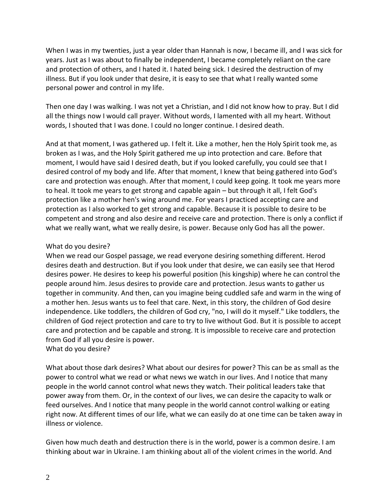When I was in my twenties, just a year older than Hannah is now, I became ill, and I was sick for years. Just as I was about to finally be independent, I became completely reliant on the care and protection of others, and I hated it. I hated being sick. I desired the destruction of my illness. But if you look under that desire, it is easy to see that what I really wanted some personal power and control in my life.

Then one day I was walking. I was not yet a Christian, and I did not know how to pray. But I did all the things now I would call prayer. Without words, I lamented with all my heart. Without words, I shouted that I was done. I could no longer continue. I desired death.

And at that moment, I was gathered up. I felt it. Like a mother, hen the Holy Spirit took me, as broken as I was, and the Holy Spirit gathered me up into protection and care. Before that moment, I would have said I desired death, but if you looked carefully, you could see that I desired control of my body and life. After that moment, I knew that being gathered into God's care and protection was enough. After that moment, I could keep going. It took me years more to heal. It took me years to get strong and capable again – but through it all, I felt God's protection like a mother hen's wing around me. For years I practiced accepting care and protection as I also worked to get strong and capable. Because it is possible to desire to be competent and strong and also desire and receive care and protection. There is only a conflict if what we really want, what we really desire, is power. Because only God has all the power.

## What do you desire?

When we read our Gospel passage, we read everyone desiring something different. Herod desires death and destruction. But if you look under that desire, we can easily see that Herod desires power. He desires to keep his powerful position (his kingship) where he can control the people around him. Jesus desires to provide care and protection. Jesus wants to gather us together in community. And then, can you imagine being cuddled safe and warm in the wing of a mother hen. Jesus wants us to feel that care. Next, in this story, the children of God desire independence. Like toddlers, the children of God cry, "no, I will do it myself." Like toddlers, the children of God reject protection and care to try to live without God. But it is possible to accept care and protection and be capable and strong. It is impossible to receive care and protection from God if all you desire is power.

What do you desire?

What about those dark desires? What about our desires for power? This can be as small as the power to control what we read or what news we watch in our lives. And I notice that many people in the world cannot control what news they watch. Their political leaders take that power away from them. Or, in the context of our lives, we can desire the capacity to walk or feed ourselves. And I notice that many people in the world cannot control walking or eating right now. At different times of our life, what we can easily do at one time can be taken away in illness or violence.

Given how much death and destruction there is in the world, power is a common desire. I am thinking about war in Ukraine. I am thinking about all of the violent crimes in the world. And